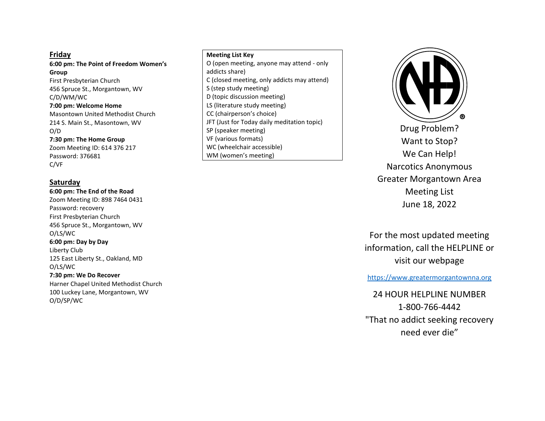### **Friday**

**6:00 pm: The Point of Freedom Women's Group** First Presbyterian Church 456 Spruce St., Morgantown, WV C/D/WM/WC **7:00 pm: Welcome Home**  Masontown United Methodist Church 214 S. Main St., Masontown, WV O/D **7:30 pm: The Home Group**  Zoom Meeting ID: 614 376 217 Password: 376681

C/VF

### **Saturday**

O/D/SP/WC

**6:00 pm: The End of the Road**  Zoom Meeting ID: 898 7464 0431 Password: recovery First Presbyterian Church 456 Spruce St., Morgantown, WV O/LS/WC **6:00 pm: Day by Day**  Liberty Club 125 East Liberty St., Oakland, MD O/LS/WC **7:30 pm: We Do Recover** Harner Chapel United Methodist Church

100 Luckey Lane, Morgantown, WV

#### **Meeting List Key**

O (open meeting, anyone may attend - only addicts share) C (closed meeting, only addicts may attend) S (step study meeting) D (topic discussion meeting) LS (literature study meeting) CC (chairperson's choice) JFT (Just for Today daily meditation topic) SP (speaker meeting) VF (various formats) WC (wheelchair accessible) WM (women's meeting)



For the most updated meeting information, call the HELPLINE or visit our webpage

[https://www.greatermorgantownna.org](https://www.greatermorgantownna.org/)

24 HOUR HELPLINE NUMBER 1-800-766-4442 "That no addict seeking recovery need ever die"